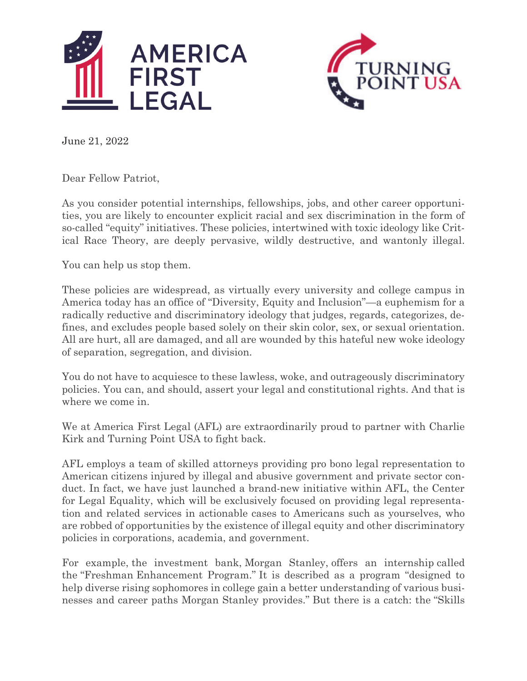



June 21, 2022

Dear Fellow Patriot,

As you consider potential internships, fellowships, jobs, and other career opportunities, you are likely to encounter explicit racial and sex discrimination in the form of so-called "equity" initiatives. These policies, intertwined with toxic ideology like Critical Race Theory, are deeply pervasive, wildly destructive, and wantonly illegal.

You can help us stop them.

These policies are widespread, as virtually every university and college campus in America today has an office of "Diversity, Equity and Inclusion"—a euphemism for a radically reductive and discriminatory ideology that judges, regards, categorizes, defines, and excludes people based solely on their skin color, sex, or sexual orientation. All are hurt, all are damaged, and all are wounded by this hateful new woke ideology of separation, segregation, and division.

You do not have to acquiesce to these lawless, woke, and outrageously discriminatory policies. You can, and should, assert your legal and constitutional rights. And that is where we come in.

We at America First Legal (AFL) are extraordinarily proud to partner with Charlie Kirk and Turning Point USA to fight back.

AFL employs a team of skilled attorneys providing pro bono legal representation to American citizens injured by illegal and abusive government and private sector conduct. In fact, we have just launched a brand-new initiative within AFL, the Center for Legal Equality, which will be exclusively focused on providing legal representation and related services in actionable cases to Americans such as yourselves, who are robbed of opportunities by the existence of illegal equity and other discriminatory policies in corporations, academia, and government.

For example, the investment bank, Morgan Stanley, offers an internship called the "Freshman Enhancement Program." It is described as a program "designed to help diverse rising sophomores in college gain a better understanding of various businesses and career paths Morgan Stanley provides." But there is a catch: the "Skills